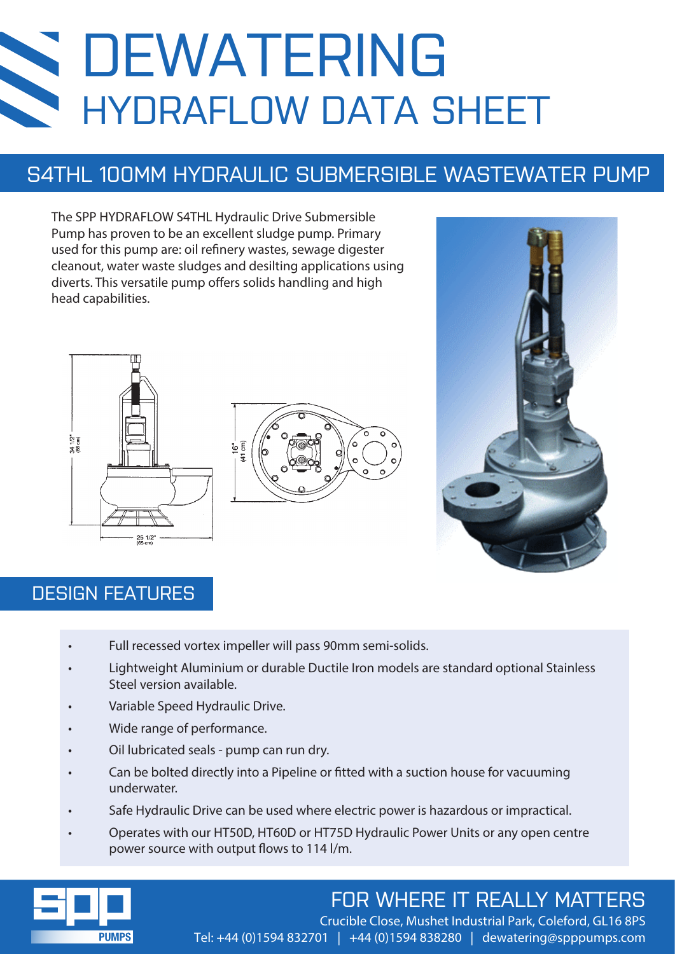# DEWATERING HYDRAFLOW DATA SHEET

## S4THL 100MM HYDRAULIC SUBMERSIBLE WASTEWATER PUMP

The SPP HYDRAFLOW S4THL Hydraulic Drive Submersible Pump has proven to be an excellent sludge pump. Primary used for this pump are: oil refinery wastes, sewage digester cleanout, water waste sludges and desilting applications using diverts. This versatile pump offers solids handling and high head capabilities.







### DESIGN FEATURES

- Full recessed vortex impeller will pass 90mm semi-solids.
- Lightweight Aluminium or durable Ductile Iron models are standard optional Stainless Steel version available.
- Variable Speed Hydraulic Drive.
- Wide range of performance.
- Oil lubricated seals pump can run dry.
- Can be bolted directly into a Pipeline or fitted with a suction house for vacuuming underwater.
- Safe Hydraulic Drive can be used where electric power is hazardous or impractical.
- Operates with our HT50D, HT60D or HT75D Hydraulic Power Units or any open centre power source with output flows to 114 l/m.



## FOR WHERE IT REALLY MATTERS

Crucible Close, Mushet Industrial Park, Coleford, GL16 8PS Tel: +44 (0)1594 832701 | +44 (0)1594 838280 | dewatering@spppumps.com